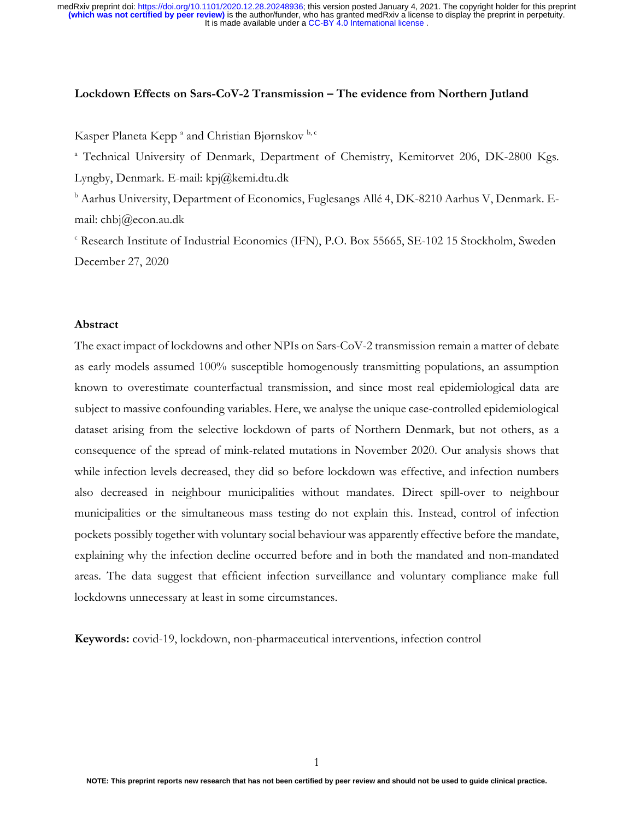#### **Lockdown Effects on Sars-CoV-2 Transmission – The evidence from Northern Jutland**

Kasper Planeta Kepp<sup>a</sup> and Christian Bjørnskov b,c

<sup>a</sup> Technical University of Denmark, Department of Chemistry, Kemitorvet 206, DK-2800 Kgs. Lyngby, Denmark. E-mail: kpj@kemi.dtu.dk

<sup>b</sup> Aarhus University, Department of Economics, Fuglesangs Allé 4, DK-8210 Aarhus V, Denmark. Email: chbj@econ.au.dk

<sup>c</sup> Research Institute of Industrial Economics (IFN), P.O. Box 55665, SE-102 15 Stockholm, Sweden December 27, 2020

### **Abstract**

The exact impact of lockdowns and other NPIs on Sars-CoV-2 transmission remain a matter of debate as early models assumed 100% susceptible homogenously transmitting populations, an assumption known to overestimate counterfactual transmission, and since most real epidemiological data are subject to massive confounding variables. Here, we analyse the unique case-controlled epidemiological dataset arising from the selective lockdown of parts of Northern Denmark, but not others, as a consequence of the spread of mink-related mutations in November 2020. Our analysis shows that while infection levels decreased, they did so before lockdown was effective, and infection numbers also decreased in neighbour municipalities without mandates. Direct spill-over to neighbour municipalities or the simultaneous mass testing do not explain this. Instead, control of infection pockets possibly together with voluntary social behaviour was apparently effective before the mandate, explaining why the infection decline occurred before and in both the mandated and non-mandated areas. The data suggest that efficient infection surveillance and voluntary compliance make full lockdowns unnecessary at least in some circumstances.

**Keywords:** covid-19, lockdown, non-pharmaceutical interventions, infection control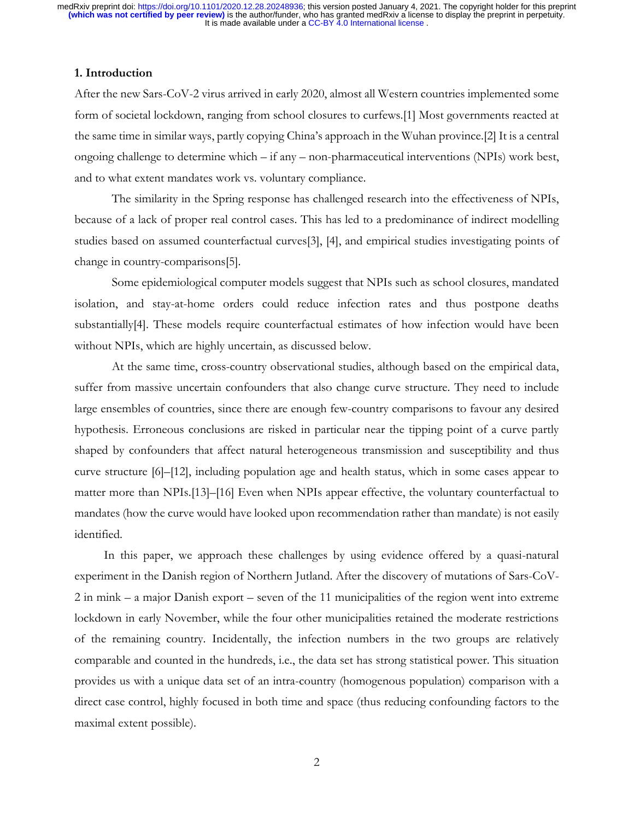# **1. Introduction**

After the new Sars-CoV-2 virus arrived in early 2020, almost all Western countries implemented some form of societal lockdown, ranging from school closures to curfews.[1] Most governments reacted at the same time in similar ways, partly copying China's approach in the Wuhan province.[2] It is a central ongoing challenge to determine which – if any – non-pharmaceutical interventions (NPIs) work best, and to what extent mandates work vs. voluntary compliance.

The similarity in the Spring response has challenged research into the effectiveness of NPIs, because of a lack of proper real control cases. This has led to a predominance of indirect modelling studies based on assumed counterfactual curves[3], [4], and empirical studies investigating points of change in country-comparisons[5].

Some epidemiological computer models suggest that NPIs such as school closures, mandated isolation, and stay-at-home orders could reduce infection rates and thus postpone deaths substantially[4]. These models require counterfactual estimates of how infection would have been without NPIs, which are highly uncertain, as discussed below.

At the same time, cross-country observational studies, although based on the empirical data, suffer from massive uncertain confounders that also change curve structure. They need to include large ensembles of countries, since there are enough few-country comparisons to favour any desired hypothesis. Erroneous conclusions are risked in particular near the tipping point of a curve partly shaped by confounders that affect natural heterogeneous transmission and susceptibility and thus curve structure [6]–[12], including population age and health status, which in some cases appear to matter more than NPIs.[13]–[16] Even when NPIs appear effective, the voluntary counterfactual to mandates (how the curve would have looked upon recommendation rather than mandate) is not easily identified.

In this paper, we approach these challenges by using evidence offered by a quasi-natural experiment in the Danish region of Northern Jutland. After the discovery of mutations of Sars-CoV-2 in mink – a major Danish export – seven of the 11 municipalities of the region went into extreme lockdown in early November, while the four other municipalities retained the moderate restrictions of the remaining country. Incidentally, the infection numbers in the two groups are relatively comparable and counted in the hundreds, i.e., the data set has strong statistical power. This situation provides us with a unique data set of an intra-country (homogenous population) comparison with a direct case control, highly focused in both time and space (thus reducing confounding factors to the maximal extent possible).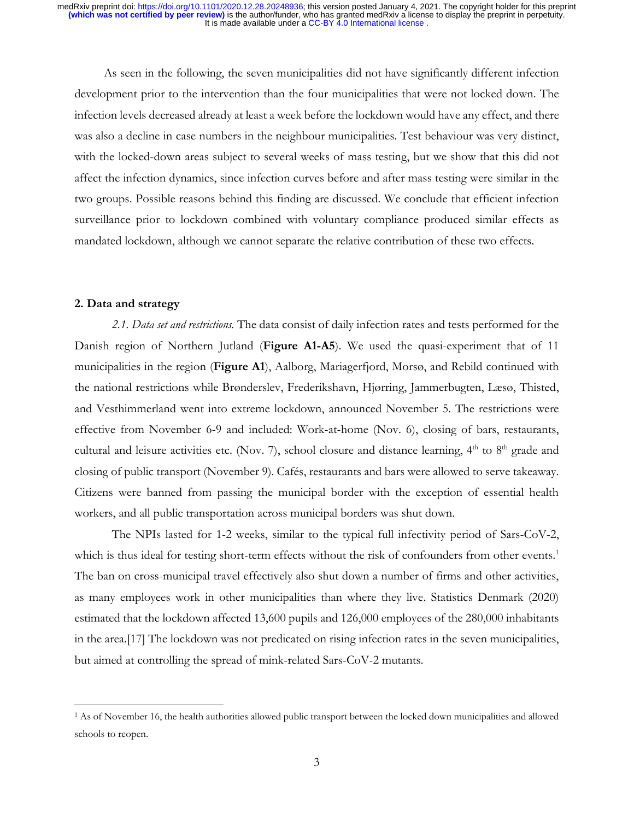As seen in the following, the seven municipalities did not have significantly different infection development prior to the intervention than the four municipalities that were not locked down. The infection levels decreased already at least a week before the lockdown would have any effect, and there was also a decline in case numbers in the neighbour municipalities. Test behaviour was very distinct, with the locked-down areas subject to several weeks of mass testing, but we show that this did not affect the infection dynamics, since infection curves before and after mass testing were similar in the two groups. Possible reasons behind this finding are discussed. We conclude that efficient infection surveillance prior to lockdown combined with voluntary compliance produced similar effects as mandated lockdown, although we cannot separate the relative contribution of these two effects.

### **2. Data and strategy**

*2.1. Data set and restrictions.* The data consist of daily infection rates and tests performed for the Danish region of Northern Jutland (**Figure A1-A5**). We used the quasi-experiment that of 11 municipalities in the region (**Figure A1**), Aalborg, Mariagerfjord, Morsø, and Rebild continued with the national restrictions while Brønderslev, Frederikshavn, Hjørring, Jammerbugten, Læsø, Thisted, and Vesthimmerland went into extreme lockdown, announced November 5. The restrictions were effective from November 6-9 and included: Work-at-home (Nov. 6), closing of bars, restaurants, cultural and leisure activities etc. (Nov. 7), school closure and distance learning, 4<sup>th</sup> to 8<sup>th</sup> grade and closing of public transport (November 9). Cafés, restaurants and bars were allowed to serve takeaway. Citizens were banned from passing the municipal border with the exception of essential health workers, and all public transportation across municipal borders was shut down.

The NPIs lasted for 1-2 weeks, similar to the typical full infectivity period of Sars-CoV-2, which is thus ideal for testing short-term effects without the risk of confounders from other events.<sup>1</sup> The ban on cross-municipal travel effectively also shut down a number of firms and other activities, as many employees work in other municipalities than where they live. Statistics Denmark (2020) estimated that the lockdown affected 13,600 pupils and 126,000 employees of the 280,000 inhabitants in the area.[17] The lockdown was not predicated on rising infection rates in the seven municipalities, but aimed at controlling the spread of mink-related Sars-CoV-2 mutants.

<sup>1</sup> As of November 16, the health authorities allowed public transport between the locked down municipalities and allowed schools to reopen.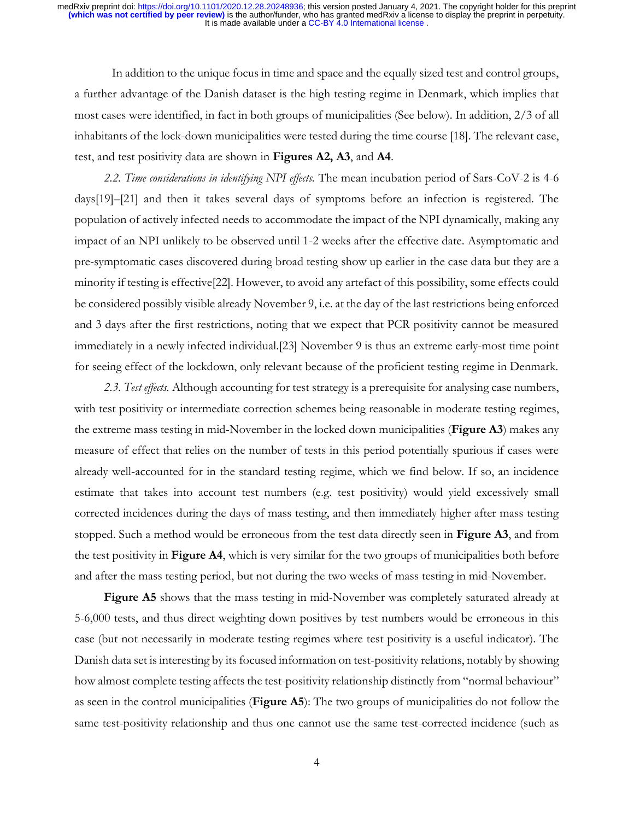In addition to the unique focus in time and space and the equally sized test and control groups, a further advantage of the Danish dataset is the high testing regime in Denmark, which implies that most cases were identified, in fact in both groups of municipalities (See below). In addition, 2/3 of all inhabitants of the lock-down municipalities were tested during the time course [18]. The relevant case, test, and test positivity data are shown in **Figures A2, A3**, and **A4**.

*2.2. Time considerations in identifying NPI effects.* The mean incubation period of Sars-CoV-2 is 4-6 days[19]–[21] and then it takes several days of symptoms before an infection is registered. The population of actively infected needs to accommodate the impact of the NPI dynamically, making any impact of an NPI unlikely to be observed until 1-2 weeks after the effective date. Asymptomatic and pre-symptomatic cases discovered during broad testing show up earlier in the case data but they are a minority if testing is effective[22]. However, to avoid any artefact of this possibility, some effects could be considered possibly visible already November 9, i.e. at the day of the last restrictions being enforced and 3 days after the first restrictions, noting that we expect that PCR positivity cannot be measured immediately in a newly infected individual.[23] November 9 is thus an extreme early-most time point for seeing effect of the lockdown, only relevant because of the proficient testing regime in Denmark.

*2.3. Test effects.* Although accounting for test strategy is a prerequisite for analysing case numbers, with test positivity or intermediate correction schemes being reasonable in moderate testing regimes, the extreme mass testing in mid-November in the locked down municipalities (**Figure A3**) makes any measure of effect that relies on the number of tests in this period potentially spurious if cases were already well-accounted for in the standard testing regime, which we find below. If so, an incidence estimate that takes into account test numbers (e.g. test positivity) would yield excessively small corrected incidences during the days of mass testing, and then immediately higher after mass testing stopped. Such a method would be erroneous from the test data directly seen in **Figure A3**, and from the test positivity in **Figure A4**, which is very similar for the two groups of municipalities both before and after the mass testing period, but not during the two weeks of mass testing in mid-November.

**Figure A5** shows that the mass testing in mid-November was completely saturated already at 5-6,000 tests, and thus direct weighting down positives by test numbers would be erroneous in this case (but not necessarily in moderate testing regimes where test positivity is a useful indicator). The Danish data set is interesting by its focused information on test-positivity relations, notably by showing how almost complete testing affects the test-positivity relationship distinctly from "normal behaviour" as seen in the control municipalities (**Figure A5**): The two groups of municipalities do not follow the same test-positivity relationship and thus one cannot use the same test-corrected incidence (such as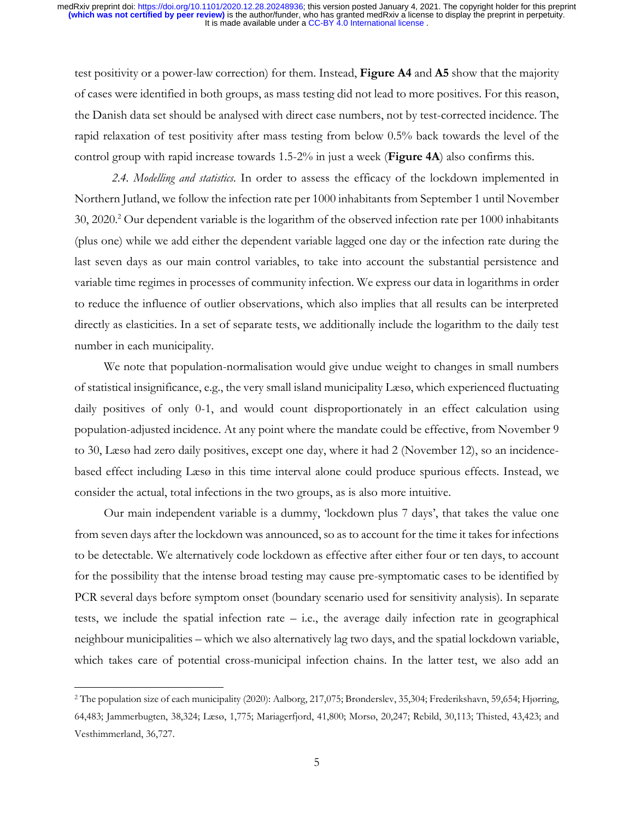test positivity or a power-law correction) for them. Instead, **Figure A4** and **A5** show that the majority of cases were identified in both groups, as mass testing did not lead to more positives. For this reason, the Danish data set should be analysed with direct case numbers, not by test-corrected incidence. The rapid relaxation of test positivity after mass testing from below 0.5% back towards the level of the control group with rapid increase towards 1.5-2% in just a week (**Figure 4A**) also confirms this.

*2.4. Modelling and statistics*. In order to assess the efficacy of the lockdown implemented in Northern Jutland, we follow the infection rate per 1000 inhabitants from September 1 until November  $30, 2020$ .<sup>2</sup> Our dependent variable is the logarithm of the observed infection rate per 1000 inhabitants (plus one) while we add either the dependent variable lagged one day or the infection rate during the last seven days as our main control variables, to take into account the substantial persistence and variable time regimes in processes of community infection. We express our data in logarithms in order to reduce the influence of outlier observations, which also implies that all results can be interpreted directly as elasticities. In a set of separate tests, we additionally include the logarithm to the daily test number in each municipality.

We note that population-normalisation would give undue weight to changes in small numbers of statistical insignificance, e.g., the very small island municipality Læsø, which experienced fluctuating daily positives of only 0-1, and would count disproportionately in an effect calculation using population-adjusted incidence. At any point where the mandate could be effective, from November 9 to 30, Læsø had zero daily positives, except one day, where it had 2 (November 12), so an incidencebased effect including Læsø in this time interval alone could produce spurious effects. Instead, we consider the actual, total infections in the two groups, as is also more intuitive.

Our main independent variable is a dummy, 'lockdown plus 7 days', that takes the value one from seven days after the lockdown was announced, so as to account for the time it takes for infections to be detectable. We alternatively code lockdown as effective after either four or ten days, to account for the possibility that the intense broad testing may cause pre-symptomatic cases to be identified by PCR several days before symptom onset (boundary scenario used for sensitivity analysis). In separate tests, we include the spatial infection rate – i.e., the average daily infection rate in geographical neighbour municipalities – which we also alternatively lag two days, and the spatial lockdown variable, which takes care of potential cross-municipal infection chains. In the latter test, we also add an

<sup>2</sup> The population size of each municipality (2020): Aalborg, 217,075; Brønderslev, 35,304; Frederikshavn, 59,654; Hjørring, 64,483; Jammerbugten, 38,324; Læsø, 1,775; Mariagerfjord, 41,800; Morsø, 20,247; Rebild, 30,113; Thisted, 43,423; and Vesthimmerland, 36,727.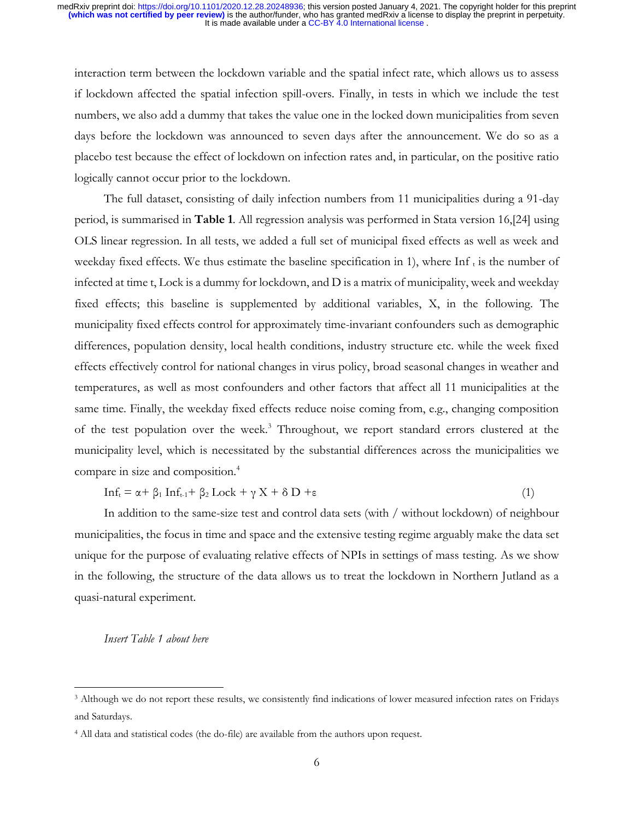interaction term between the lockdown variable and the spatial infect rate, which allows us to assess if lockdown affected the spatial infection spill-overs. Finally, in tests in which we include the test numbers, we also add a dummy that takes the value one in the locked down municipalities from seven days before the lockdown was announced to seven days after the announcement. We do so as a placebo test because the effect of lockdown on infection rates and, in particular, on the positive ratio logically cannot occur prior to the lockdown.

The full dataset, consisting of daily infection numbers from 11 municipalities during a 91-day period, is summarised in **Table 1**. All regression analysis was performed in Stata version 16,[24] using OLS linear regression. In all tests, we added a full set of municipal fixed effects as well as week and weekday fixed effects. We thus estimate the baseline specification in 1), where  $\text{Inf}_t$  is the number of infected at time t, Lock is a dummy for lockdown, and D is a matrix of municipality, week and weekday fixed effects; this baseline is supplemented by additional variables, X, in the following. The municipality fixed effects control for approximately time-invariant confounders such as demographic differences, population density, local health conditions, industry structure etc. while the week fixed effects effectively control for national changes in virus policy, broad seasonal changes in weather and temperatures, as well as most confounders and other factors that affect all 11 municipalities at the same time. Finally, the weekday fixed effects reduce noise coming from, e.g., changing composition of the test population over the week.<sup>3</sup> Throughout, we report standard errors clustered at the municipality level, which is necessitated by the substantial differences across the municipalities we compare in size and composition.<sup>4</sup>

 $Inf_t = \alpha + \beta_1 Inf_{t-1} + \beta_2 Lock + \gamma X + \delta D + \epsilon$  (1)

In addition to the same-size test and control data sets (with / without lockdown) of neighbour municipalities, the focus in time and space and the extensive testing regime arguably make the data set unique for the purpose of evaluating relative effects of NPIs in settings of mass testing. As we show in the following, the structure of the data allows us to treat the lockdown in Northern Jutland as a quasi-natural experiment.

# *Insert Table 1 about here*

<sup>3</sup> Although we do not report these results, we consistently find indications of lower measured infection rates on Fridays and Saturdays.

<sup>4</sup> All data and statistical codes (the do-file) are available from the authors upon request.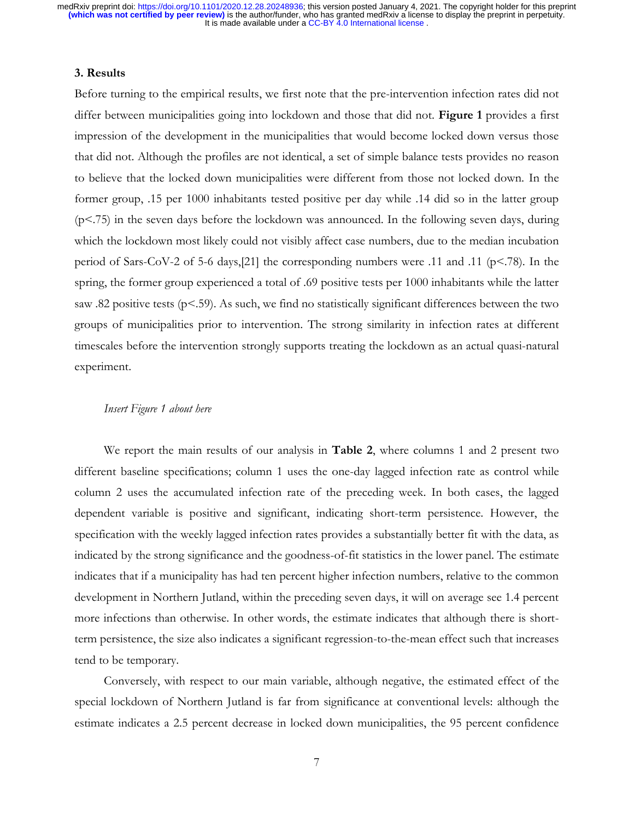### **3. Results**

Before turning to the empirical results, we first note that the pre-intervention infection rates did not differ between municipalities going into lockdown and those that did not. **Figure 1** provides a first impression of the development in the municipalities that would become locked down versus those that did not. Although the profiles are not identical, a set of simple balance tests provides no reason to believe that the locked down municipalities were different from those not locked down. In the former group, .15 per 1000 inhabitants tested positive per day while .14 did so in the latter group (p<.75) in the seven days before the lockdown was announced. In the following seven days, during which the lockdown most likely could not visibly affect case numbers, due to the median incubation period of Sars-CoV-2 of 5-6 days,[21] the corresponding numbers were .11 and .11 (p<.78). In the spring, the former group experienced a total of .69 positive tests per 1000 inhabitants while the latter saw .82 positive tests ( $p$ <.59). As such, we find no statistically significant differences between the two groups of municipalities prior to intervention. The strong similarity in infection rates at different timescales before the intervention strongly supports treating the lockdown as an actual quasi-natural experiment.

### *Insert Figure 1 about here*

We report the main results of our analysis in **Table 2**, where columns 1 and 2 present two different baseline specifications; column 1 uses the one-day lagged infection rate as control while column 2 uses the accumulated infection rate of the preceding week. In both cases, the lagged dependent variable is positive and significant, indicating short-term persistence. However, the specification with the weekly lagged infection rates provides a substantially better fit with the data, as indicated by the strong significance and the goodness-of-fit statistics in the lower panel. The estimate indicates that if a municipality has had ten percent higher infection numbers, relative to the common development in Northern Jutland, within the preceding seven days, it will on average see 1.4 percent more infections than otherwise. In other words, the estimate indicates that although there is shortterm persistence, the size also indicates a significant regression-to-the-mean effect such that increases tend to be temporary.

Conversely, with respect to our main variable, although negative, the estimated effect of the special lockdown of Northern Jutland is far from significance at conventional levels: although the estimate indicates a 2.5 percent decrease in locked down municipalities, the 95 percent confidence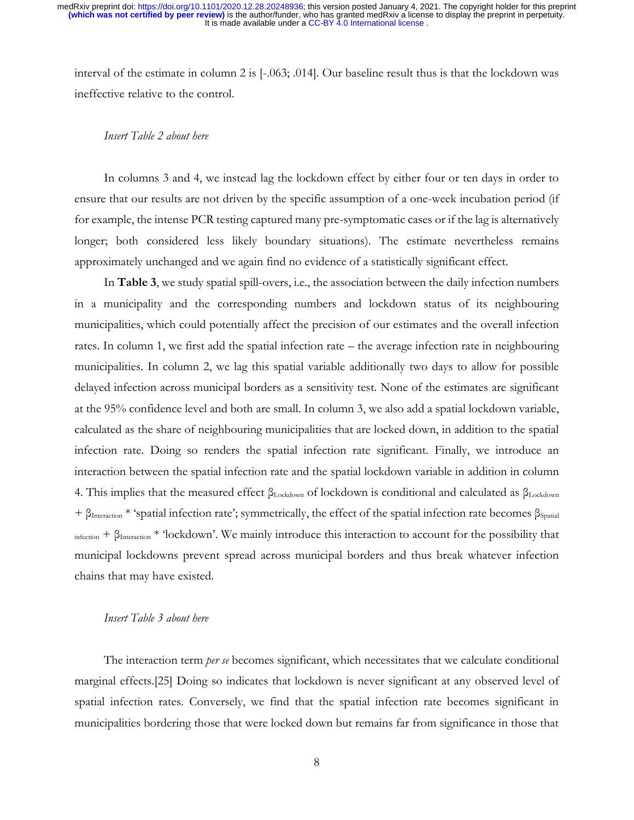interval of the estimate in column 2 is [-.063; .014]. Our baseline result thus is that the lockdown was ineffective relative to the control.

### *Insert Table 2 about here*

In columns 3 and 4, we instead lag the lockdown effect by either four or ten days in order to ensure that our results are not driven by the specific assumption of a one-week incubation period (if for example, the intense PCR testing captured many pre-symptomatic cases or if the lag is alternatively longer; both considered less likely boundary situations). The estimate nevertheless remains approximately unchanged and we again find no evidence of a statistically significant effect.

In **Table 3**, we study spatial spill-overs, i.e., the association between the daily infection numbers in a municipality and the corresponding numbers and lockdown status of its neighbouring municipalities, which could potentially affect the precision of our estimates and the overall infection rates. In column 1, we first add the spatial infection rate – the average infection rate in neighbouring municipalities. In column 2, we lag this spatial variable additionally two days to allow for possible delayed infection across municipal borders as a sensitivity test. None of the estimates are significant at the 95% confidence level and both are small. In column 3, we also add a spatial lockdown variable, calculated as the share of neighbouring municipalities that are locked down, in addition to the spatial infection rate. Doing so renders the spatial infection rate significant. Finally, we introduce an interaction between the spatial infection rate and the spatial lockdown variable in addition in column 4. This implies that the measured effect βLockdown of lockdown is conditional and calculated as βLockdown  $+ \beta_{\text{Interaction}} *$  'spatial infection rate'; symmetrically, the effect of the spatial infection rate becomes  $\beta_{\text{Spatial}}$ infection + βInteraction \* 'lockdown'. We mainly introduce this interaction to account for the possibility that municipal lockdowns prevent spread across municipal borders and thus break whatever infection chains that may have existed.

### *Insert Table 3 about here*

The interaction term *per se* becomes significant, which necessitates that we calculate conditional marginal effects.[25] Doing so indicates that lockdown is never significant at any observed level of spatial infection rates. Conversely, we find that the spatial infection rate becomes significant in municipalities bordering those that were locked down but remains far from significance in those that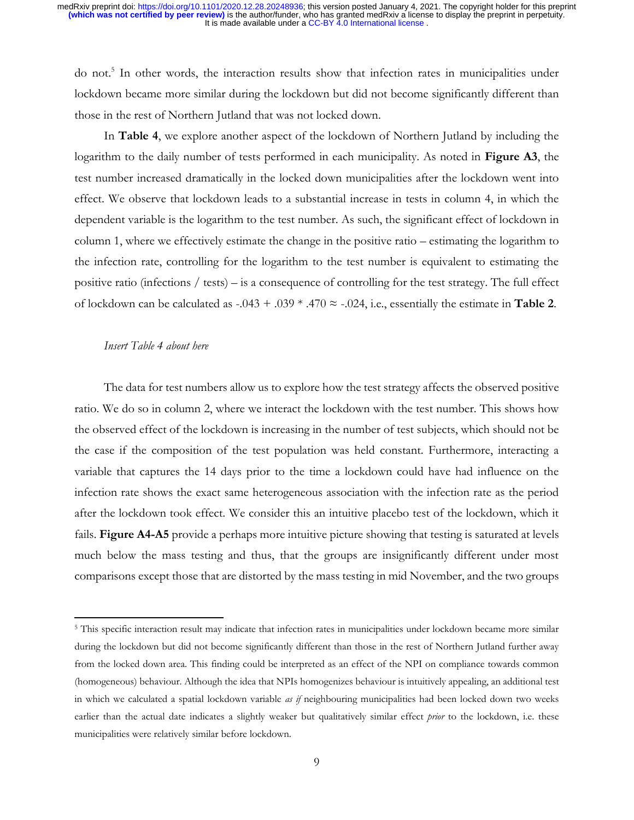do not.<sup>5</sup> In other words, the interaction results show that infection rates in municipalities under lockdown became more similar during the lockdown but did not become significantly different than those in the rest of Northern Jutland that was not locked down.

In **Table 4**, we explore another aspect of the lockdown of Northern Jutland by including the logarithm to the daily number of tests performed in each municipality. As noted in **Figure A3**, the test number increased dramatically in the locked down municipalities after the lockdown went into effect. We observe that lockdown leads to a substantial increase in tests in column 4, in which the dependent variable is the logarithm to the test number. As such, the significant effect of lockdown in column 1, where we effectively estimate the change in the positive ratio – estimating the logarithm to the infection rate, controlling for the logarithm to the test number is equivalent to estimating the positive ratio (infections / tests) – is a consequence of controlling for the test strategy. The full effect of lockdown can be calculated as  $-.043 + .039 * .470 \approx -.024$ , i.e., essentially the estimate in **Table 2**.

#### *Insert Table 4 about here*

The data for test numbers allow us to explore how the test strategy affects the observed positive ratio. We do so in column 2, where we interact the lockdown with the test number. This shows how the observed effect of the lockdown is increasing in the number of test subjects, which should not be the case if the composition of the test population was held constant. Furthermore, interacting a variable that captures the 14 days prior to the time a lockdown could have had influence on the infection rate shows the exact same heterogeneous association with the infection rate as the period after the lockdown took effect. We consider this an intuitive placebo test of the lockdown, which it fails. **Figure A4-A5** provide a perhaps more intuitive picture showing that testing is saturated at levels much below the mass testing and thus, that the groups are insignificantly different under most comparisons except those that are distorted by the mass testing in mid November, and the two groups

<sup>&</sup>lt;sup>5</sup> This specific interaction result may indicate that infection rates in municipalities under lockdown became more similar during the lockdown but did not become significantly different than those in the rest of Northern Jutland further away from the locked down area. This finding could be interpreted as an effect of the NPI on compliance towards common (homogeneous) behaviour. Although the idea that NPIs homogenizes behaviour is intuitively appealing, an additional test in which we calculated a spatial lockdown variable *as if* neighbouring municipalities had been locked down two weeks earlier than the actual date indicates a slightly weaker but qualitatively similar effect *prior* to the lockdown, i.e. these municipalities were relatively similar before lockdown.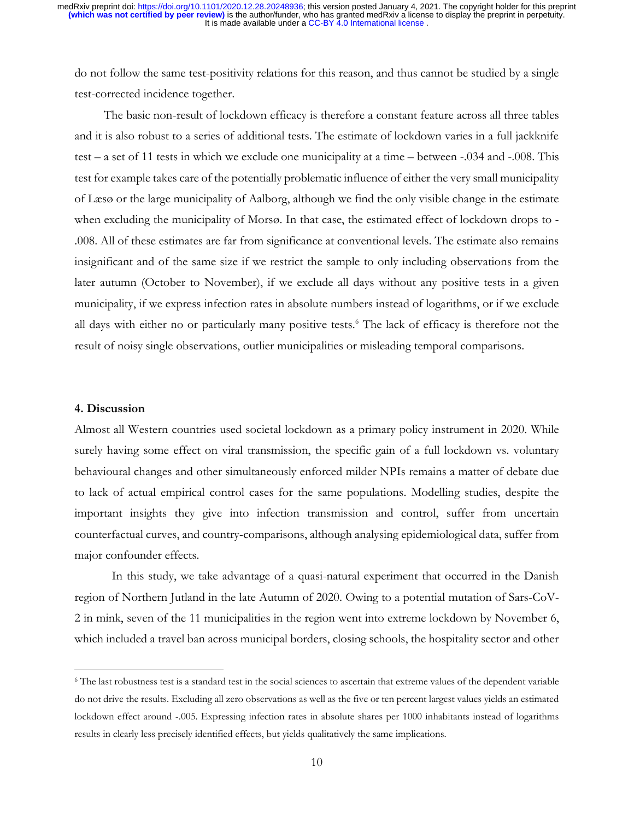do not follow the same test-positivity relations for this reason, and thus cannot be studied by a single test-corrected incidence together.

The basic non-result of lockdown efficacy is therefore a constant feature across all three tables and it is also robust to a series of additional tests. The estimate of lockdown varies in a full jackknife test – a set of 11 tests in which we exclude one municipality at a time – between -.034 and -.008. This test for example takes care of the potentially problematic influence of either the very small municipality of Læsø or the large municipality of Aalborg, although we find the only visible change in the estimate when excluding the municipality of Morsø. In that case, the estimated effect of lockdown drops to - .008. All of these estimates are far from significance at conventional levels. The estimate also remains insignificant and of the same size if we restrict the sample to only including observations from the later autumn (October to November), if we exclude all days without any positive tests in a given municipality, if we express infection rates in absolute numbers instead of logarithms, or if we exclude all days with either no or particularly many positive tests.<sup>6</sup> The lack of efficacy is therefore not the result of noisy single observations, outlier municipalities or misleading temporal comparisons.

#### **4. Discussion**

Almost all Western countries used societal lockdown as a primary policy instrument in 2020. While surely having some effect on viral transmission, the specific gain of a full lockdown vs. voluntary behavioural changes and other simultaneously enforced milder NPIs remains a matter of debate due to lack of actual empirical control cases for the same populations. Modelling studies, despite the important insights they give into infection transmission and control, suffer from uncertain counterfactual curves, and country-comparisons, although analysing epidemiological data, suffer from major confounder effects.

In this study, we take advantage of a quasi-natural experiment that occurred in the Danish region of Northern Jutland in the late Autumn of 2020. Owing to a potential mutation of Sars-CoV-2 in mink, seven of the 11 municipalities in the region went into extreme lockdown by November 6, which included a travel ban across municipal borders, closing schools, the hospitality sector and other

<sup>6</sup> The last robustness test is a standard test in the social sciences to ascertain that extreme values of the dependent variable do not drive the results. Excluding all zero observations as well as the five or ten percent largest values yields an estimated lockdown effect around -.005. Expressing infection rates in absolute shares per 1000 inhabitants instead of logarithms results in clearly less precisely identified effects, but yields qualitatively the same implications.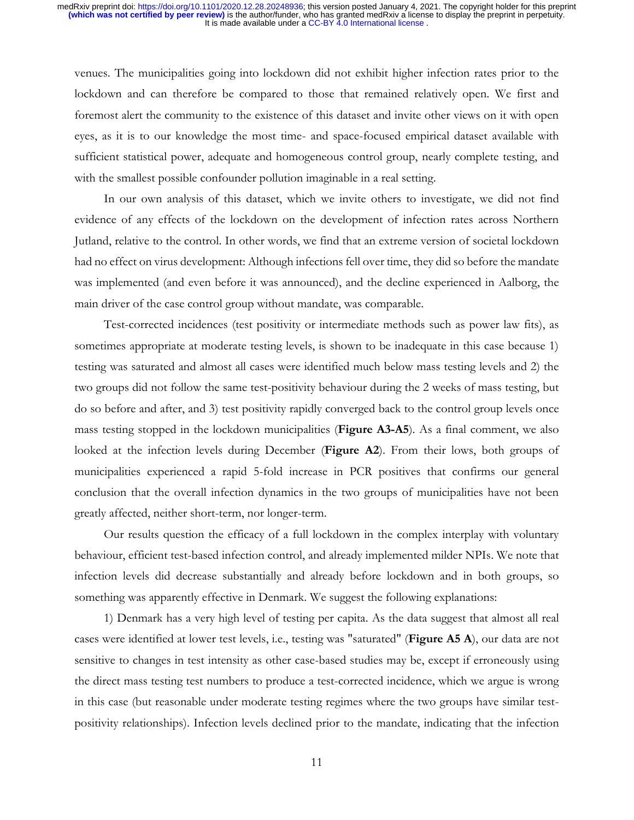venues. The municipalities going into lockdown did not exhibit higher infection rates prior to the lockdown and can therefore be compared to those that remained relatively open. We first and foremost alert the community to the existence of this dataset and invite other views on it with open eyes, as it is to our knowledge the most time- and space-focused empirical dataset available with sufficient statistical power, adequate and homogeneous control group, nearly complete testing, and with the smallest possible confounder pollution imaginable in a real setting.

In our own analysis of this dataset, which we invite others to investigate, we did not find evidence of any effects of the lockdown on the development of infection rates across Northern Jutland, relative to the control. In other words, we find that an extreme version of societal lockdown had no effect on virus development: Although infections fell over time, they did so before the mandate was implemented (and even before it was announced), and the decline experienced in Aalborg, the main driver of the case control group without mandate, was comparable.

Test-corrected incidences (test positivity or intermediate methods such as power law fits), as sometimes appropriate at moderate testing levels, is shown to be inadequate in this case because 1) testing was saturated and almost all cases were identified much below mass testing levels and 2) the two groups did not follow the same test-positivity behaviour during the 2 weeks of mass testing, but do so before and after, and 3) test positivity rapidly converged back to the control group levels once mass testing stopped in the lockdown municipalities (**Figure A3-A5**). As a final comment, we also looked at the infection levels during December (**Figure A2**). From their lows, both groups of municipalities experienced a rapid 5-fold increase in PCR positives that confirms our general conclusion that the overall infection dynamics in the two groups of municipalities have not been greatly affected, neither short-term, nor longer-term.

Our results question the efficacy of a full lockdown in the complex interplay with voluntary behaviour, efficient test-based infection control, and already implemented milder NPIs. We note that infection levels did decrease substantially and already before lockdown and in both groups, so something was apparently effective in Denmark. We suggest the following explanations:

1) Denmark has a very high level of testing per capita. As the data suggest that almost all real cases were identified at lower test levels, i.e., testing was "saturated" (**Figure A5 A**), our data are not sensitive to changes in test intensity as other case-based studies may be, except if erroneously using the direct mass testing test numbers to produce a test-corrected incidence, which we argue is wrong in this case (but reasonable under moderate testing regimes where the two groups have similar testpositivity relationships). Infection levels declined prior to the mandate, indicating that the infection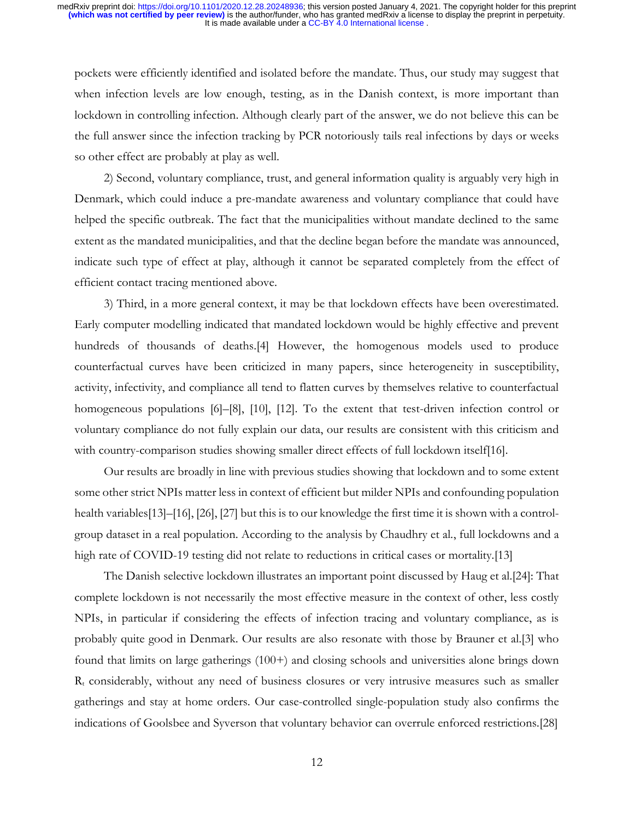pockets were efficiently identified and isolated before the mandate. Thus, our study may suggest that when infection levels are low enough, testing, as in the Danish context, is more important than lockdown in controlling infection. Although clearly part of the answer, we do not believe this can be the full answer since the infection tracking by PCR notoriously tails real infections by days or weeks so other effect are probably at play as well.

2) Second, voluntary compliance, trust, and general information quality is arguably very high in Denmark, which could induce a pre-mandate awareness and voluntary compliance that could have helped the specific outbreak. The fact that the municipalities without mandate declined to the same extent as the mandated municipalities, and that the decline began before the mandate was announced, indicate such type of effect at play, although it cannot be separated completely from the effect of efficient contact tracing mentioned above.

3) Third, in a more general context, it may be that lockdown effects have been overestimated. Early computer modelling indicated that mandated lockdown would be highly effective and prevent hundreds of thousands of deaths.[4] However, the homogenous models used to produce counterfactual curves have been criticized in many papers, since heterogeneity in susceptibility, activity, infectivity, and compliance all tend to flatten curves by themselves relative to counterfactual homogeneous populations [6]–[8], [10], [12]. To the extent that test-driven infection control or voluntary compliance do not fully explain our data, our results are consistent with this criticism and with country-comparison studies showing smaller direct effects of full lockdown itself[16].

Our results are broadly in line with previous studies showing that lockdown and to some extent some other strict NPIs matter less in context of efficient but milder NPIs and confounding population health variables[13]–[16], [26], [27] but this is to our knowledge the first time it is shown with a controlgroup dataset in a real population. According to the analysis by Chaudhry et al., full lockdowns and a high rate of COVID-19 testing did not relate to reductions in critical cases or mortality.[13]

The Danish selective lockdown illustrates an important point discussed by Haug et al.[24]: That complete lockdown is not necessarily the most effective measure in the context of other, less costly NPIs, in particular if considering the effects of infection tracing and voluntary compliance, as is probably quite good in Denmark. Our results are also resonate with those by Brauner et al.[3] who found that limits on large gatherings (100+) and closing schools and universities alone brings down  $R_t$  considerably, without any need of business closures or very intrusive measures such as smaller gatherings and stay at home orders. Our case-controlled single-population study also confirms the indications of Goolsbee and Syverson that voluntary behavior can overrule enforced restrictions.[28]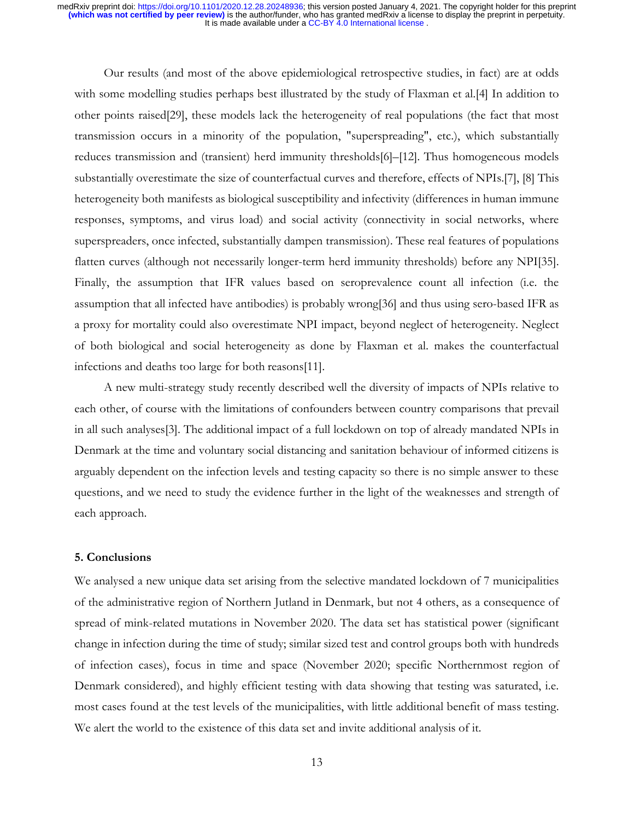Our results (and most of the above epidemiological retrospective studies, in fact) are at odds with some modelling studies perhaps best illustrated by the study of Flaxman et al.[4] In addition to other points raised[29], these models lack the heterogeneity of real populations (the fact that most transmission occurs in a minority of the population, "superspreading", etc.), which substantially reduces transmission and (transient) herd immunity thresholds[6]–[12]. Thus homogeneous models substantially overestimate the size of counterfactual curves and therefore, effects of NPIs.[7], [8] This heterogeneity both manifests as biological susceptibility and infectivity (differences in human immune responses, symptoms, and virus load) and social activity (connectivity in social networks, where superspreaders, once infected, substantially dampen transmission). These real features of populations flatten curves (although not necessarily longer-term herd immunity thresholds) before any NPI[35]. Finally, the assumption that IFR values based on seroprevalence count all infection (i.e. the assumption that all infected have antibodies) is probably wrong[36] and thus using sero-based IFR as a proxy for mortality could also overestimate NPI impact, beyond neglect of heterogeneity. Neglect of both biological and social heterogeneity as done by Flaxman et al. makes the counterfactual infections and deaths too large for both reasons[11].

A new multi-strategy study recently described well the diversity of impacts of NPIs relative to each other, of course with the limitations of confounders between country comparisons that prevail in all such analyses[3]. The additional impact of a full lockdown on top of already mandated NPIs in Denmark at the time and voluntary social distancing and sanitation behaviour of informed citizens is arguably dependent on the infection levels and testing capacity so there is no simple answer to these questions, and we need to study the evidence further in the light of the weaknesses and strength of each approach.

### **5. Conclusions**

We analysed a new unique data set arising from the selective mandated lockdown of 7 municipalities of the administrative region of Northern Jutland in Denmark, but not 4 others, as a consequence of spread of mink-related mutations in November 2020. The data set has statistical power (significant change in infection during the time of study; similar sized test and control groups both with hundreds of infection cases), focus in time and space (November 2020; specific Northernmost region of Denmark considered), and highly efficient testing with data showing that testing was saturated, i.e. most cases found at the test levels of the municipalities, with little additional benefit of mass testing. We alert the world to the existence of this data set and invite additional analysis of it.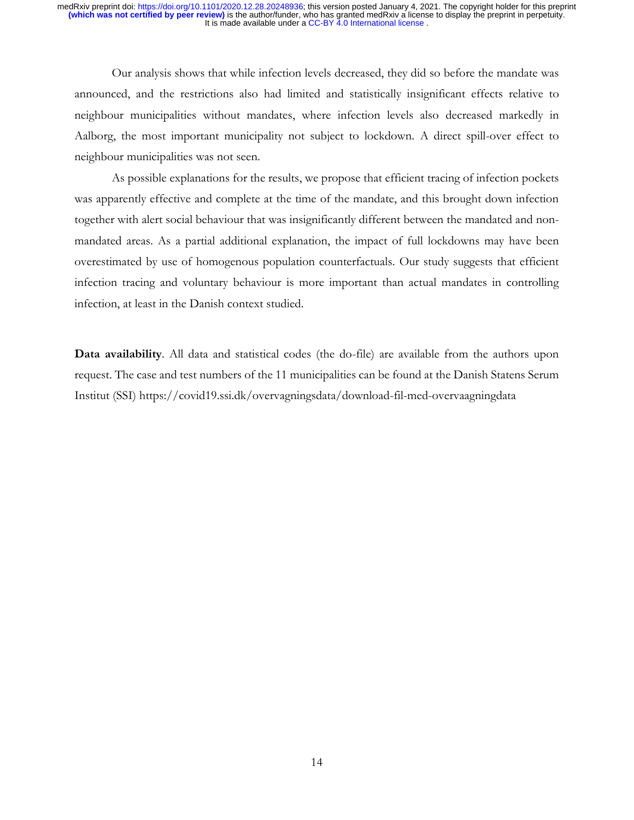Our analysis shows that while infection levels decreased, they did so before the mandate was announced, and the restrictions also had limited and statistically insignificant effects relative to neighbour municipalities without mandates, where infection levels also decreased markedly in Aalborg, the most important municipality not subject to lockdown. A direct spill-over effect to neighbour municipalities was not seen.

As possible explanations for the results, we propose that efficient tracing of infection pockets was apparently effective and complete at the time of the mandate, and this brought down infection together with alert social behaviour that was insignificantly different between the mandated and nonmandated areas. As a partial additional explanation, the impact of full lockdowns may have been overestimated by use of homogenous population counterfactuals. Our study suggests that efficient infection tracing and voluntary behaviour is more important than actual mandates in controlling infection, at least in the Danish context studied.

**Data availability**. All data and statistical codes (the do-file) are available from the authors upon request. The case and test numbers of the 11 municipalities can be found at the Danish Statens Serum Institut (SSI) https://covid19.ssi.dk/overvagningsdata/download-fil-med-overvaagningdata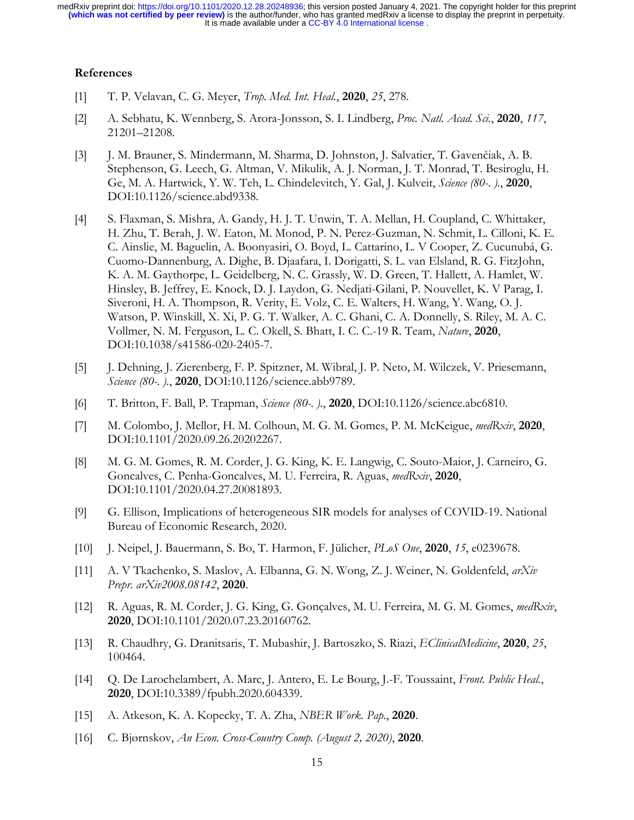## **References**

- [1] T. P. Velavan, C. G. Meyer, *Trop. Med. Int. Heal.*, **2020**, *25*, 278.
- [2] A. Sebhatu, K. Wennberg, S. Arora-Jonsson, S. I. Lindberg, *Proc. Natl. Acad. Sci.*, **2020**, *117*, 21201–21208.
- [3] J. M. Brauner, S. Mindermann, M. Sharma, D. Johnston, J. Salvatier, T. Gavenčiak, A. B. Stephenson, G. Leech, G. Altman, V. Mikulik, A. J. Norman, J. T. Monrad, T. Besiroglu, H. Ge, M. A. Hartwick, Y. W. Teh, L. Chindelevitch, Y. Gal, J. Kulveit, *Science (80-. ).*, **2020**, DOI:10.1126/science.abd9338.
- [4] S. Flaxman, S. Mishra, A. Gandy, H. J. T. Unwin, T. A. Mellan, H. Coupland, C. Whittaker, H. Zhu, T. Berah, J. W. Eaton, M. Monod, P. N. Perez-Guzman, N. Schmit, L. Cilloni, K. E. C. Ainslie, M. Baguelin, A. Boonyasiri, O. Boyd, L. Cattarino, L. V Cooper, Z. Cucunubá, G. Cuomo-Dannenburg, A. Dighe, B. Djaafara, I. Dorigatti, S. L. van Elsland, R. G. FitzJohn, K. A. M. Gaythorpe, L. Geidelberg, N. C. Grassly, W. D. Green, T. Hallett, A. Hamlet, W. Hinsley, B. Jeffrey, E. Knock, D. J. Laydon, G. Nedjati-Gilani, P. Nouvellet, K. V Parag, I. Siveroni, H. A. Thompson, R. Verity, E. Volz, C. E. Walters, H. Wang, Y. Wang, O. J. Watson, P. Winskill, X. Xi, P. G. T. Walker, A. C. Ghani, C. A. Donnelly, S. Riley, M. A. C. Vollmer, N. M. Ferguson, L. C. Okell, S. Bhatt, I. C. C.-19 R. Team, *Nature*, **2020**, DOI:10.1038/s41586-020-2405-7.
- [5] J. Dehning, J. Zierenberg, F. P. Spitzner, M. Wibral, J. P. Neto, M. Wilczek, V. Priesemann, *Science (80-. ).*, **2020**, DOI:10.1126/science.abb9789.
- [6] T. Britton, F. Ball, P. Trapman, *Science (80-. ).*, **2020**, DOI:10.1126/science.abc6810.
- [7] M. Colombo, J. Mellor, H. M. Colhoun, M. G. M. Gomes, P. M. McKeigue, *medRxiv*, **2020**, DOI:10.1101/2020.09.26.20202267.
- [8] M. G. M. Gomes, R. M. Corder, J. G. King, K. E. Langwig, C. Souto-Maior, J. Carneiro, G. Goncalves, C. Penha-Goncalves, M. U. Ferreira, R. Aguas, *medRxiv*, **2020**, DOI:10.1101/2020.04.27.20081893.
- [9] G. Ellison, Implications of heterogeneous SIR models for analyses of COVID-19. National Bureau of Economic Research, 2020.
- [10] J. Neipel, J. Bauermann, S. Bo, T. Harmon, F. Jülicher, *PLoS One*, **2020**, *15*, e0239678.
- [11] A. V Tkachenko, S. Maslov, A. Elbanna, G. N. Wong, Z. J. Weiner, N. Goldenfeld, *arXiv Prepr. arXiv2008.08142*, **2020**.
- [12] R. Aguas, R. M. Corder, J. G. King, G. Gonçalves, M. U. Ferreira, M. G. M. Gomes, *medRxiv*, **2020**, DOI:10.1101/2020.07.23.20160762.
- [13] R. Chaudhry, G. Dranitsaris, T. Mubashir, J. Bartoszko, S. Riazi, *EClinicalMedicine*, **2020**, *25*, 100464.
- [14] Q. De Larochelambert, A. Marc, J. Antero, E. Le Bourg, J.-F. Toussaint, *Front. Public Heal.*, **2020**, DOI:10.3389/fpubh.2020.604339.
- [15] A. Atkeson, K. A. Kopecky, T. A. Zha, *NBER Work. Pap.*, **2020**.
- [16] C. Bjørnskov, *An Econ. Cross-Country Comp. (August 2, 2020)*, **2020**.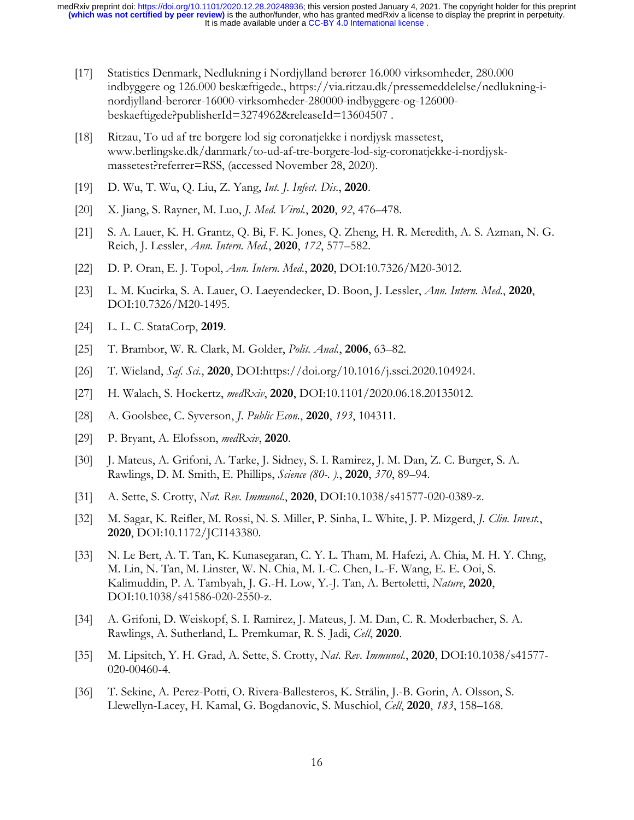- [17] Statistics Denmark, Nedlukning i Nordjylland berører 16.000 virksomheder, 280.000 indbyggere og 126.000 beskæftigede., https://via.ritzau.dk/pressemeddelelse/nedlukning-inordjylland-berorer-16000-virksomheder-280000-indbyggere-og-126000 beskaeftigede?publisherId=3274962&releaseId=13604507 .
- [18] Ritzau, To ud af tre borgere lod sig coronatjekke i nordjysk massetest, www.berlingske.dk/danmark/to-ud-af-tre-borgere-lod-sig-coronatjekke-i-nordjyskmassetest?referrer=RSS, (accessed November 28, 2020).
- [19] D. Wu, T. Wu, Q. Liu, Z. Yang, *Int. J. Infect. Dis.*, **2020**.
- [20] X. Jiang, S. Rayner, M. Luo, *J. Med. Virol.*, **2020**, *92*, 476–478.
- [21] S. A. Lauer, K. H. Grantz, Q. Bi, F. K. Jones, Q. Zheng, H. R. Meredith, A. S. Azman, N. G. Reich, J. Lessler, *Ann. Intern. Med.*, **2020**, *172*, 577–582.
- [22] D. P. Oran, E. J. Topol, *Ann. Intern. Med.*, **2020**, DOI:10.7326/M20-3012.
- [23] L. M. Kucirka, S. A. Lauer, O. Laeyendecker, D. Boon, J. Lessler, *Ann. Intern. Med.*, **2020**, DOI:10.7326/M20-1495.
- [24] L. L. C. StataCorp, **2019**.
- [25] T. Brambor, W. R. Clark, M. Golder, *Polit. Anal.*, **2006**, 63–82.
- [26] T. Wieland, *Saf. Sci.*, **2020**, DOI:https://doi.org/10.1016/j.ssci.2020.104924.
- [27] H. Walach, S. Hockertz, *medRxiv*, **2020**, DOI:10.1101/2020.06.18.20135012.
- [28] A. Goolsbee, C. Syverson, *J. Public Econ.*, **2020**, *193*, 104311.
- [29] P. Bryant, A. Elofsson, *medRxiv*, **2020**.
- [30] J. Mateus, A. Grifoni, A. Tarke, J. Sidney, S. I. Ramirez, J. M. Dan, Z. C. Burger, S. A. Rawlings, D. M. Smith, E. Phillips, *Science (80-. ).*, **2020**, *370*, 89–94.
- [31] A. Sette, S. Crotty, *Nat. Rev. Immunol.*, **2020**, DOI:10.1038/s41577-020-0389-z.
- [32] M. Sagar, K. Reifler, M. Rossi, N. S. Miller, P. Sinha, L. White, J. P. Mizgerd, *J. Clin. Invest.*, **2020**, DOI:10.1172/JCI143380.
- [33] N. Le Bert, A. T. Tan, K. Kunasegaran, C. Y. L. Tham, M. Hafezi, A. Chia, M. H. Y. Chng, M. Lin, N. Tan, M. Linster, W. N. Chia, M. I.-C. Chen, L.-F. Wang, E. E. Ooi, S. Kalimuddin, P. A. Tambyah, J. G.-H. Low, Y.-J. Tan, A. Bertoletti, *Nature*, **2020**, DOI:10.1038/s41586-020-2550-z.
- [34] A. Grifoni, D. Weiskopf, S. I. Ramirez, J. Mateus, J. M. Dan, C. R. Moderbacher, S. A. Rawlings, A. Sutherland, L. Premkumar, R. S. Jadi, *Cell*, **2020**.
- [35] M. Lipsitch, Y. H. Grad, A. Sette, S. Crotty, *Nat. Rev. Immunol.*, **2020**, DOI:10.1038/s41577- 020-00460-4.
- [36] T. Sekine, A. Perez-Potti, O. Rivera-Ballesteros, K. Strålin, J.-B. Gorin, A. Olsson, S. Llewellyn-Lacey, H. Kamal, G. Bogdanovic, S. Muschiol, *Cell*, **2020**, *183*, 158–168.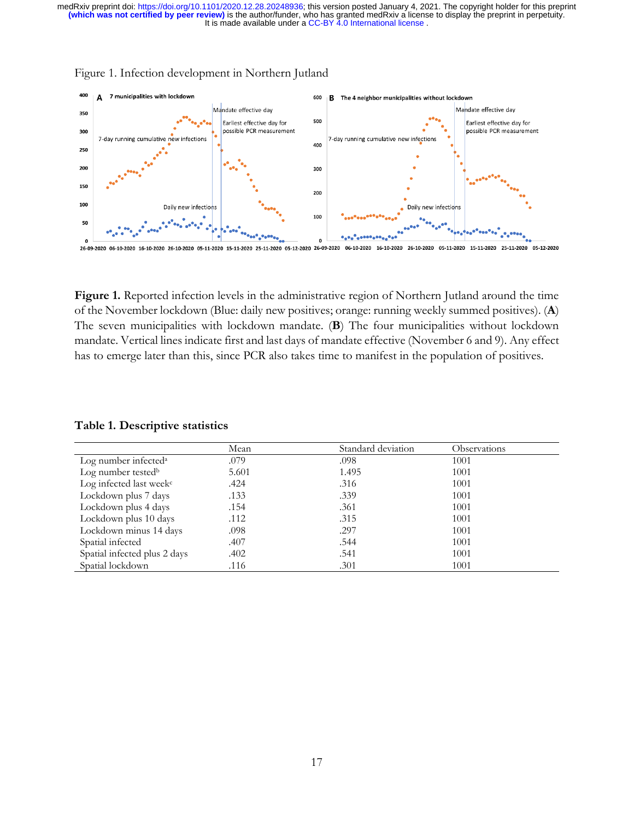

### Figure 1. Infection development in Northern Jutland

**Figure 1.** Reported infection levels in the administrative region of Northern Jutland around the time of the November lockdown (Blue: daily new positives; orange: running weekly summed positives). (**A**) The seven municipalities with lockdown mandate. (**B**) The four municipalities without lockdown mandate. Vertical lines indicate first and last days of mandate effective (November 6 and 9). Any effect has to emerge later than this, since PCR also takes time to manifest in the population of positives.

### **Table 1. Descriptive statistics**

|                                     | Mean  | Standard deviation | <b>Observations</b> |
|-------------------------------------|-------|--------------------|---------------------|
| Log number infected <sup>a</sup>    | .079  | .098               | 1001                |
| Log number tested <sup>b</sup>      | 5.601 | 1.495              | 1001                |
| Log infected last week <sup>c</sup> | .424  | .316               | 1001                |
| Lockdown plus 7 days                | .133  | .339               | 1001                |
| Lockdown plus 4 days                | .154  | .361               | 1001                |
| Lockdown plus 10 days               | .112  | .315               | 1001                |
| Lockdown minus 14 days              | .098  | .297               | 1001                |
| Spatial infected                    | .407  | .544               | 1001                |
| Spatial infected plus 2 days        | .402  | .541               | 1001                |
| Spatial lockdown                    | .116  | .301               | 1001                |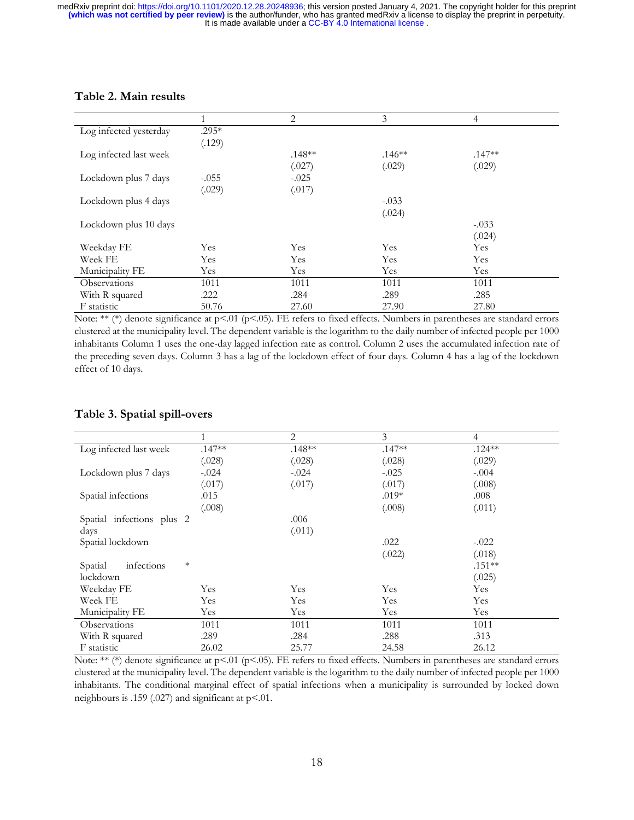# **Table 2. Main results**

|                        |         | 2        | 3        | 4        |
|------------------------|---------|----------|----------|----------|
| Log infected yesterday | $.295*$ |          |          |          |
|                        | (.129)  |          |          |          |
| Log infected last week |         | $.148**$ | $.146**$ | $.147**$ |
|                        |         | (.027)   | (.029)   | (.029)   |
| Lockdown plus 7 days   | $-.055$ | $-.025$  |          |          |
|                        | (.029)  | (.017)   |          |          |
| Lockdown plus 4 days   |         |          | $-.033$  |          |
|                        |         |          | (.024)   |          |
| Lockdown plus 10 days  |         |          |          | $-.033$  |
|                        |         |          |          | (.024)   |
| Weekday FE             | Yes     | Yes      | Yes      | Yes      |
| Week FE                | Yes     | Yes      | Yes      | Yes      |
| Municipality FE        | Yes     | Yes      | Yes      | Yes      |
| <b>Observations</b>    | 1011    | 1011     | 1011     | 1011     |
| With R squared         | .222    | .284     | .289     | .285     |
| F statistic            | 50.76   | 27.60    | 27.90    | 27.80    |

Note: \*\* (\*) denote significance at p<.01 (p<.05). FE refers to fixed effects. Numbers in parentheses are standard errors clustered at the municipality level. The dependent variable is the logarithm to the daily number of infected people per 1000 inhabitants Column 1 uses the one-day lagged infection rate as control. Column 2 uses the accumulated infection rate of the preceding seven days. Column 3 has a lag of the lockdown effect of four days. Column 4 has a lag of the lockdown effect of 10 days.

# **Table 3. Spatial spill-overs**

|                                 |          | 2        | 3        | 4         |
|---------------------------------|----------|----------|----------|-----------|
| Log infected last week          | $.147**$ | $.148**$ | $.147**$ | $.124***$ |
|                                 | (.028)   | (.028)   | (.028)   | (.029)    |
| Lockdown plus 7 days            | $-.024$  | $-.024$  | $-.025$  | $-.004$   |
|                                 | (.017)   | (.017)   | (.017)   | (.008)    |
| Spatial infections              | .015     |          | $.019*$  | .008      |
|                                 | (.008)   |          | (.008)   | (.011)    |
| Spatial infections plus 2       |          | .006     |          |           |
| days                            |          | (.011)   |          |           |
| Spatial lockdown                |          |          | .022     | $-.022$   |
|                                 |          |          | (.022)   | (.018)    |
| $\ast$<br>infections<br>Spatial |          |          |          | $.151**$  |
| lockdown                        |          |          |          | (.025)    |
| Weekday FE                      | Yes      | Yes      | Yes      | Yes       |
| Week FE                         | Yes      | Yes      | Yes      | Yes       |
| Municipality FE                 | Yes      | Yes      | Yes      | Yes       |
| Observations                    | 1011     | 1011     | 1011     | 1011      |
| With R squared                  | .289     | .284     | .288     | .313      |
| F statistic                     | 26.02    | 25.77    | 24.58    | 26.12     |

Note: \*\* (\*) denote significance at p<.01 (p<.05). FE refers to fixed effects. Numbers in parentheses are standard errors clustered at the municipality level. The dependent variable is the logarithm to the daily number of infected people per 1000 inhabitants. The conditional marginal effect of spatial infections when a municipality is surrounded by locked down neighbours is .159 (.027) and significant at p<.01.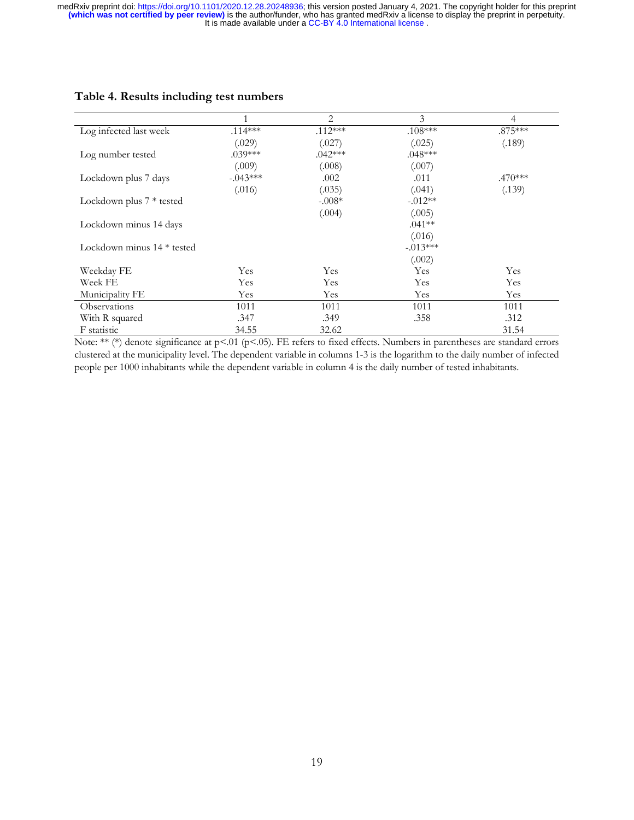|                              |             | 2         | 3          | $\overline{4}$ |
|------------------------------|-------------|-----------|------------|----------------|
| Log infected last week       | $.114***$   | $.112***$ | $.108***$  | $.875***$      |
|                              | (.029)      | (.027)    | (.025)     | (.189)         |
| Log number tested            | $.039***$   | $.042***$ | $.048***$  |                |
|                              | (.009)      | (.008)    | (.007)     |                |
| Lockdown plus 7 days         | $-0.043***$ | .002      | .011       | $.470***$      |
|                              | (.016)      | (.035)    | (.041)     | (.139)         |
| Lockdown plus $7 *$ tested   |             | $-.008*$  | $-0.012**$ |                |
|                              |             | (.004)    | (.005)     |                |
| Lockdown minus 14 days       |             |           | $.041**$   |                |
|                              |             |           | (.016)     |                |
| Lockdown minus $14 *$ tested |             |           | $-.013***$ |                |
|                              |             |           | (.002)     |                |
| Weekday FE                   | Yes         | Yes       | Yes        | Yes            |
| Week FE                      | Yes         | Yes       | Yes        | Yes            |
| Municipality FE              | Yes         | Yes       | Yes        | Yes            |
| Observations                 | 1011        | 1011      | 1011       | 1011           |
| With R squared               | .347        | .349      | .358       | .312           |
| F statistic                  | 34.55       | 32.62     |            | 31.54          |

# **Table 4. Results including test numbers**

Note: \*\* (\*) denote significance at p<.01 (p<.05). FE refers to fixed effects. Numbers in parentheses are standard errors clustered at the municipality level. The dependent variable in columns 1-3 is the logarithm to the daily number of infected people per 1000 inhabitants while the dependent variable in column 4 is the daily number of tested inhabitants.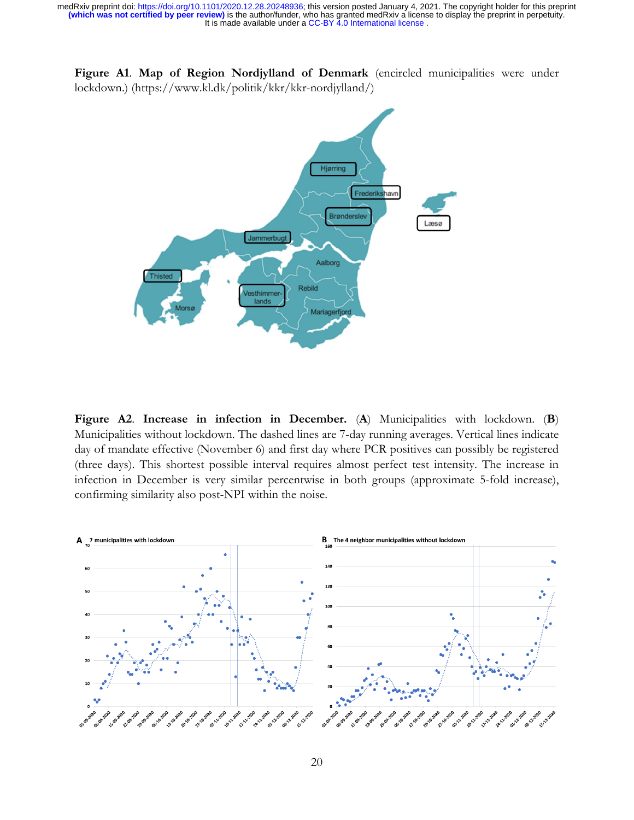**Figure A1**. **Map of Region Nordjylland of Denmark** (encircled municipalities were under lockdown.) (https://www.kl.dk/politik/kkr/kkr-nordjylland/)



**Figure A2**. **Increase in infection in December.** (**A**) Municipalities with lockdown. (**B**) Municipalities without lockdown. The dashed lines are 7-day running averages. Vertical lines indicate day of mandate effective (November 6) and first day where PCR positives can possibly be registered (three days). This shortest possible interval requires almost perfect test intensity. The increase in infection in December is very similar percentwise in both groups (approximate 5-fold increase), confirming similarity also post-NPI within the noise.

![](_page_19_Figure_4.jpeg)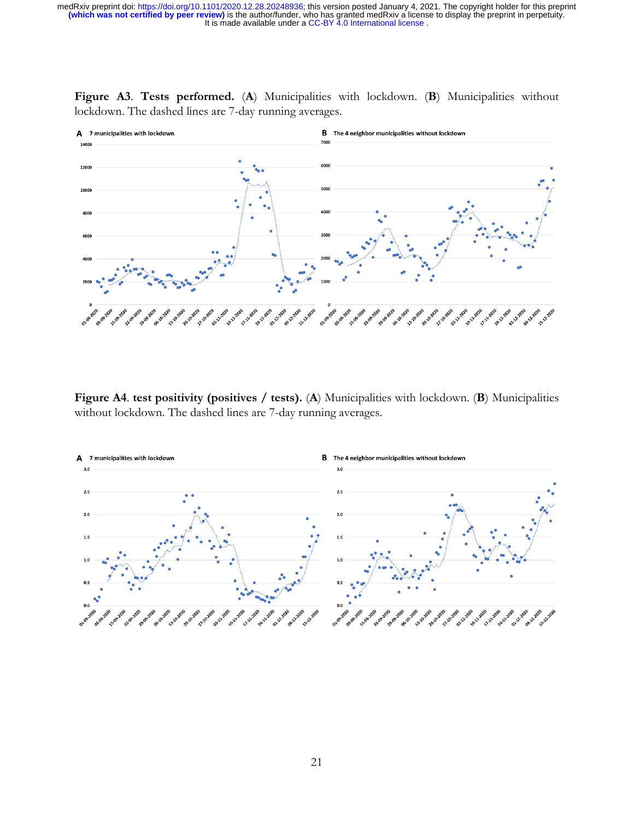![](_page_20_Figure_1.jpeg)

**Figure A3**. **Tests performed.** (**A**) Municipalities with lockdown. (**B**) Municipalities without lockdown. The dashed lines are 7-day running averages.

**Figure A4**. **test positivity (positives / tests).** (**A**) Municipalities with lockdown. (**B**) Municipalities without lockdown. The dashed lines are 7-day running averages.

![](_page_20_Figure_4.jpeg)